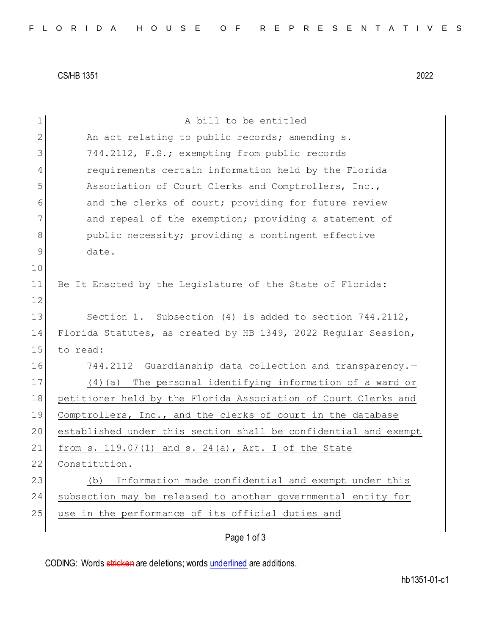CS/HB 1351 2022

| $\mathbf 1$ | A bill to be entitled                                           |
|-------------|-----------------------------------------------------------------|
| 2           | An act relating to public records; amending s.                  |
| 3           | 744.2112, F.S.; exempting from public records                   |
| 4           | requirements certain information held by the Florida            |
| 5           | Association of Court Clerks and Comptrollers, Inc.,             |
| 6           | and the clerks of court; providing for future review            |
| 7           | and repeal of the exemption; providing a statement of           |
| 8           | public necessity; providing a contingent effective              |
| 9           | date.                                                           |
| 10          |                                                                 |
| 11          | Be It Enacted by the Legislature of the State of Florida:       |
| 12          |                                                                 |
| 13          | Section 1. Subsection (4) is added to section $744.2112$ ,      |
| 14          | Florida Statutes, as created by HB 1349, 2022 Regular Session,  |
| 15          | to read:                                                        |
| 16          | 744.2112 Guardianship data collection and transparency.-        |
| 17          | The personal identifying information of a ward or<br>(4)(a)     |
| 18          | petitioner held by the Florida Association of Court Clerks and  |
| 19          | Comptrollers, Inc., and the clerks of court in the database     |
| 20          | established under this section shall be confidential and exempt |
| 21          | from s. $119.07(1)$ and s. $24(a)$ , Art. I of the State        |
| 22          | Constitution.                                                   |
| 23          | Information made confidential and exempt under this<br>(b)      |
| 24          | subsection may be released to another governmental entity for   |
| 25          | use in the performance of its official duties and               |
|             | Page 1 of 3                                                     |

CODING: Words stricken are deletions; words underlined are additions.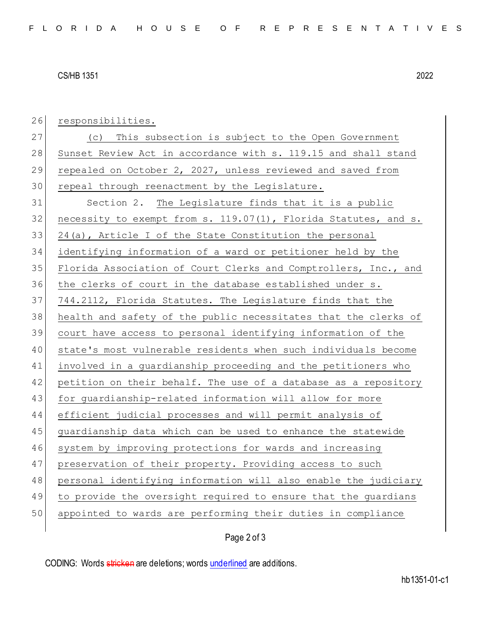## CS/HB 1351 2022

26 responsibilities. 27 (c) This subsection is subject to the Open Government 28 Sunset Review Act in accordance with s. 119.15 and shall stand 29 repealed on October 2, 2027, unless reviewed and saved from 30 repeal through reenactment by the Legislature. 31 Section 2. The Legislature finds that it is a public 32 necessity to exempt from s.  $119.07(1)$ , Florida Statutes, and s.  $33$  24(a), Article I of the State Constitution the personal 34 identifying information of a ward or petitioner held by the 35 Florida Association of Court Clerks and Comptrollers, Inc., and 36 the clerks of court in the database established under s. 37 744.2112, Florida Statutes. The Legislature finds that the 38 health and safety of the public necessitates that the clerks of 39 court have access to personal identifying information of the 40 state's most vulnerable residents when such individuals become 41 involved in a guardianship proceeding and the petitioners who 42 petition on their behalf. The use of a database as a repository 43 for guardianship-related information will allow for more 44 efficient judicial processes and will permit analysis of 45 guardianship data which can be used to enhance the statewide 46 system by improving protections for wards and increasing 47 preservation of their property. Providing access to such 48 personal identifying information will also enable the judiciary 49 to provide the oversight required to ensure that the guardians 50 appointed to wards are performing their duties in compliance

## Page 2 of 3

CODING: Words stricken are deletions; words underlined are additions.